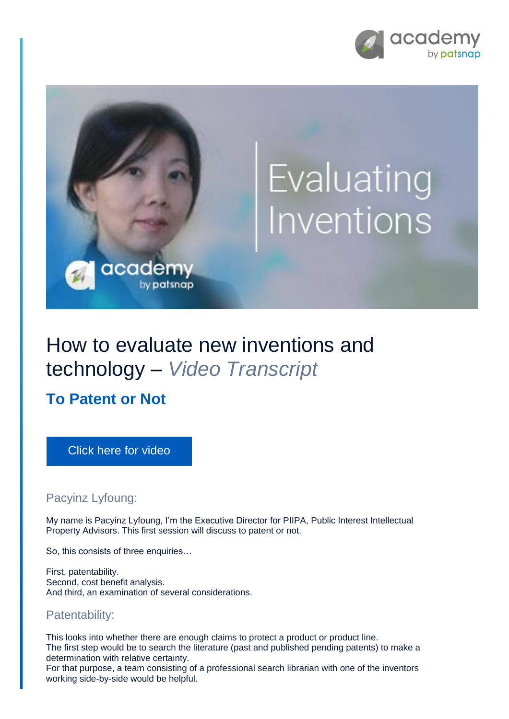



# How to evaluate new inventions and technology – *Video Transcript*

**To Patent or Not**

[Click here for video](https://academy.patsnap.com/courses/5aa90c52a8103300142e12e2/units/5c7001dbc5b87f21d8a5ba3d#module-0)

## Pacyinz Lyfoung:

My name is Pacyinz Lyfoung, I'm the Executive Director for PIIPA, Public Interest Intellectual Property Advisors. This first session will discuss to patent or not.

So, this consists of three enquiries…

First, patentability. Second, cost benefit analysis. And third, an examination of several considerations.

## Patentability:

This looks into whether there are enough claims to protect a product or product line. The first step would be to search the literature (past and published pending patents) to make a determination with relative certainty.

For that purpose, a team consisting of a professional search librarian with one of the inventors working side-by-side would be helpful.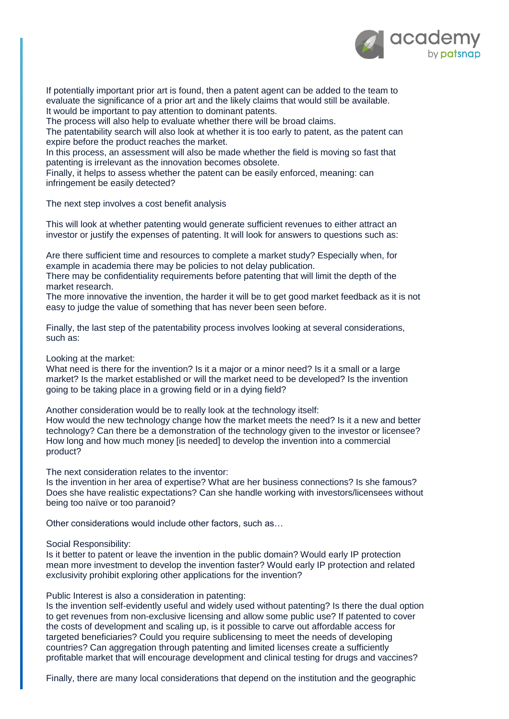

If potentially important prior art is found, then a patent agent can be added to the team to evaluate the significance of a prior art and the likely claims that would still be available. It would be important to pay attention to dominant patents.

The process will also help to evaluate whether there will be broad claims.

The patentability search will also look at whether it is too early to patent, as the patent can expire before the product reaches the market.

In this process, an assessment will also be made whether the field is moving so fast that patenting is irrelevant as the innovation becomes obsolete.

Finally, it helps to assess whether the patent can be easily enforced, meaning: can infringement be easily detected?

The next step involves a cost benefit analysis

This will look at whether patenting would generate sufficient revenues to either attract an investor or justify the expenses of patenting. It will look for answers to questions such as:

Are there sufficient time and resources to complete a market study? Especially when, for example in academia there may be policies to not delay publication.

There may be confidentiality requirements before patenting that will limit the depth of the market research.

The more innovative the invention, the harder it will be to get good market feedback as it is not easy to judge the value of something that has never been seen before.

Finally, the last step of the patentability process involves looking at several considerations, such as:

Looking at the market:

What need is there for the invention? Is it a major or a minor need? Is it a small or a large market? Is the market established or will the market need to be developed? Is the invention going to be taking place in a growing field or in a dying field?

Another consideration would be to really look at the technology itself:

How would the new technology change how the market meets the need? Is it a new and better technology? Can there be a demonstration of the technology given to the investor or licensee? How long and how much money [is needed] to develop the invention into a commercial product?

The next consideration relates to the inventor:

Is the invention in her area of expertise? What are her business connections? Is she famous? Does she have realistic expectations? Can she handle working with investors/licensees without being too naïve or too paranoid?

Other considerations would include other factors, such as…

### Social Responsibility:

Is it better to patent or leave the invention in the public domain? Would early IP protection mean more investment to develop the invention faster? Would early IP protection and related exclusivity prohibit exploring other applications for the invention?

### Public Interest is also a consideration in patenting:

Is the invention self-evidently useful and widely used without patenting? Is there the dual option to get revenues from non-exclusive licensing and allow some public use? If patented to cover the costs of development and scaling up, is it possible to carve out affordable access for targeted beneficiaries? Could you require sublicensing to meet the needs of developing countries? Can aggregation through patenting and limited licenses create a sufficiently profitable market that will encourage development and clinical testing for drugs and vaccines?

Finally, there are many local considerations that depend on the institution and the geographic